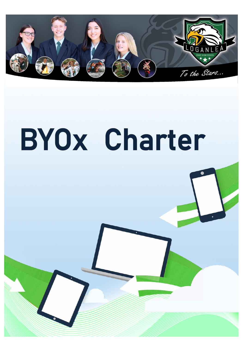

# BYOx Charter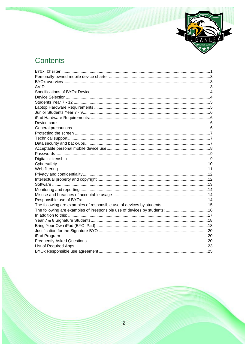

## Contents

| The following are examples of irresponsible use of devices by students: 16 |  |
|----------------------------------------------------------------------------|--|
|                                                                            |  |
|                                                                            |  |
|                                                                            |  |
|                                                                            |  |
|                                                                            |  |
|                                                                            |  |
|                                                                            |  |
|                                                                            |  |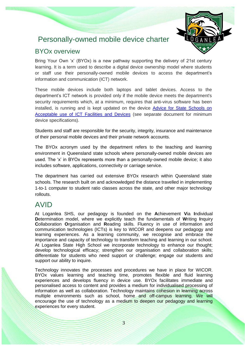## <span id="page-2-0"></span>Personally-owned mobile device charter



#### <span id="page-2-1"></span>BYOx overview

Bring Your Own 'x' (BYOx) is a new pathway supporting the delivery of 21st century learning. It is a term used to describe a digital device ownership model where students or staff use their personally-owned mobile devices to access the department's information and communication (ICT) network.

These mobile devices include both laptops and tablet devices. Access to the department's ICT network is provided only if the mobile device meets the department's security requirements which, at a minimum, requires that anti-virus software has been installed, is running and is kept updated on the device [Advice for State Schools on](http://ppr.det.qld.gov.au/corp/ict/management/Procedure%20Attachments/Information%20Communication%20and%20Technology/advice.DOCX)  [Acceptable use of ICT Facilities and Devices](http://ppr.det.qld.gov.au/corp/ict/management/Procedure%20Attachments/Information%20Communication%20and%20Technology/advice.DOCX) (see separate document for minimum device specifications).

Students and staff are responsible for the security, integrity, insurance and maintenance of their personal mobile devices and their private network accounts.

The BYOx acronym used by the department refers to the teaching and learning environment in Queensland state schools where personally-owned mobile devices are used. The 'x' in BYOx represents more than a personally-owned mobile device; it also includes software, applications, connectivity or carriage service.

The department has carried out extensive BYOx research within Queensland state schools. The research built on and acknowledged the distance travelled in implementing 1-to-1 computer to student ratio classes across the state, and other major technology rollouts.

## <span id="page-2-2"></span>AVID

At Loganlea SHS, our pedagogy is founded on the **A**chievement **V**ia **I**ndividual **D**etermination model, where we explicitly teach the fundamentals of **W**riting **I**nquiry **C**ollaboration **O**rganisation and **R**eading skills. Fluency in use of information and communication technologies (ICTs) is key to WICOR and deepens our pedagogy and learning experiences. As a learning community, we recognise and embrace the importance and capacity of technology to transform teaching and learning in our school. At Loganlea State High School we incorporate technology to enhance our thought; develop technological efficacy; strengthen our organisation and collaboration skills; differentiate for students who need support or challenge; engage our students and support our ability to inquire.

Technology innovates the processes and procedures we have in place for WICOR. BYOx values learning and teaching time, promotes flexible and fluid learning experiences and develops fluency in device use. BYOx facilitates immediate and personalised access to content and provides a medium for individualised processing of information as well as collaboration. Technology maintains cohesion in learning across multiple environments such as school, home and off-campus learning. We will encourage the use of technology as a medium to deepen our pedagogy and learning experiences for every student.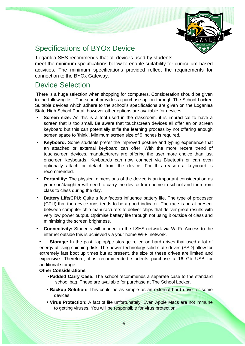

## <span id="page-3-0"></span>Specifications of BYOx Device

Loganlea SHS recommends that all devices used by students meet the minimum specifications below to enable suitability for curriculum-based activities. The minimum specifications provided reflect the requirements for connection to the BYOx Gateway.

## <span id="page-3-1"></span>Device Selection

There is a huge selection when shopping for computers. Consideration should be given to the following list. The school provides a purchase option through The School Locker. Suitable devices which adhere to the school's specifications are given on the Loganlea State High School Portal, however other options are available for devices.

- **Screen size:** As this is a tool used in the classroom, it is impractical to have a screen that is too small. Be aware that touchscreen devices all offer an on screen keyboard but this can potentially stifle the learning process by not offering enough screen space to 'think'. Minimum screen size of 9 inches is required.
- **Keyboard:** Some students prefer the improved posture and typing experience that an attached or external keyboard can offer. With the more recent trend of touchscreen devices, manufacturers are offering the user more choice than just onscreen keyboards. Keyboards can now connect via Bluetooth or can even optionally attach or detach from the device. For this reason a keyboard is recommended.
- **Portability:** The physical dimensions of the device is an important consideration as your son/daughter will need to carry the device from home to school and then from class to class during the day.
- **Battery Life/CPU:** Quite a few factors influence battery life. The type of processor (CPU) that the device runs tends to be a good indicator. The race is on at present between computer chip manufacturers to deliver chips that deliver great results with very low power output. Optimise battery life through not using it outside of class and minimising the screen brightness.
- **Connectivity:** Students will connect to the LSHS network via Wi-Fi. Access to the internet outside this is achieved via your home Wi-Fi network.

• **Storage:** In the past, laptop/pc storage relied on hard drives that used a lot of energy utilising spinning disk. The newer technology solid state drives (SSD) allow for extremely fast boot up times but at present, the size of these drives are limited and expensive. Therefore, it is recommended students purchase a 16 Gb USB for additional storage.

#### **Other Considerations**

- •**Padded Carry Case:** The school recommends a separate case to the standard school bag. These are available for purchase at The School Locker.
- **Backup Solution:** This could be as simple as an external hard drive for some devices.
- **Virus Protection:** A fact of life unfortunately. Even Apple Macs are not immune to getting viruses. You will be responsible for virus protection.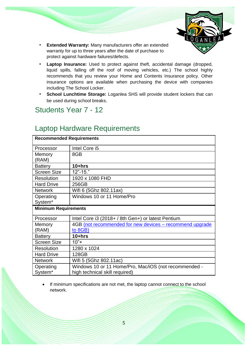

- **Extended Warranty:** Many manufacturers offer an extended warranty for up to three years after the date of purchase to protect against hardware failures/defects.
- **Laptop Insurance:** Used to protect against theft, accidental damage (dropped, liquid spills, falling off the roof of moving vehicles, etc.) The school highly recommends that you review your Home and Contents Insurance policy. Other insurance options are available when purchasing the device with companies including The School Locker.
- **School Lunchtime Storage:** Loganlea SHS will provide student lockers that can be used during school breaks.

## <span id="page-4-0"></span>Students Year 7 - 12

## <span id="page-4-1"></span>Laptop Hardware Requirements

| <b>Recommended Requirements</b> |                                                          |  |  |
|---------------------------------|----------------------------------------------------------|--|--|
| Processor                       | Intel Core i5                                            |  |  |
| Memory                          | 8GB                                                      |  |  |
| (RAM)                           |                                                          |  |  |
| <b>Battery</b>                  | $10 + hrs$                                               |  |  |
| <b>Screen Size</b>              | $12" - 15."$                                             |  |  |
| <b>Resolution</b>               | 1920 x 1080 FHD                                          |  |  |
| <b>Hard Drive</b>               | 256GB                                                    |  |  |
| <b>Network</b>                  | Wifi 6 (5Ghz 802.11ax)                                   |  |  |
| Operating                       | Windows 10 or 11 Home/Pro                                |  |  |
| System*                         |                                                          |  |  |
| <b>Minimum Requirements</b>     |                                                          |  |  |
|                                 |                                                          |  |  |
| Processor                       | Intel Core i3 (2018+ / 8th Gen+) or latest Pentium       |  |  |
| Memory                          | 4GB (not recommended for new devices – recommend upgrade |  |  |
| (RAM)                           | to 8GB)                                                  |  |  |
| <b>Battery</b>                  | $10 + hrs$                                               |  |  |
| <b>Screen Size</b>              | $10"+$                                                   |  |  |
| <b>Resolution</b>               | 1280 x 1024                                              |  |  |
| <b>Hard Drive</b>               | 128GB                                                    |  |  |
| <b>Network</b>                  | Wifi 5 (5Ghz 802.11ac)                                   |  |  |
| Operating                       | Windows 10 or 11 Home/Pro, Mac/iOS (not recommended -    |  |  |

If minimum specifications are not met, the laptop cannot connect to the school network.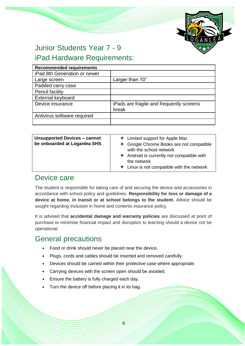

# <span id="page-5-0"></span>Junior Students Year 7 - 9

## <span id="page-5-1"></span>iPad Hardware Requirements:

| <b>Recommended requirements</b> |                                                   |
|---------------------------------|---------------------------------------------------|
| iPad 8th Generation or newer    |                                                   |
| Large screen                    | Larger than 10"                                   |
| Padded carry case               |                                                   |
| Pencil facility                 |                                                   |
| External keyboard               |                                                   |
| Device insurance                | iPads are fragile and frequently screens<br>break |
| Antivirus software required     |                                                   |
|                                 |                                                   |

| <b>Unsupported Devices - cannot</b><br>be onboarded at Loganiea SHS | $\div$ Limited support for Apple Mac<br>← Google Chrome Books are not compatible<br>with the school network<br>Android is currently not compatible with |
|---------------------------------------------------------------------|---------------------------------------------------------------------------------------------------------------------------------------------------------|
|                                                                     | the network<br>$\div$ Linux is not compatible with the network                                                                                          |

## <span id="page-5-2"></span>Device care

The student is responsible for taking care of and securing the device and accessories in accordance with school policy and guidelines. **Responsibility for loss or damage of a device at home, in transit or at school belongs to the student.** Advice should be sought regarding inclusion in home and contents insurance policy.

It is advised that **accidental damage and warranty policies** are discussed at point of purchase to minimise financial impact and disruption to learning should a device not be operational.

## <span id="page-5-3"></span>General precautions

- Food or drink should never be placed near the device.
- Plugs, cords and cables should be inserted and removed carefully.
- Devices should be carried within their protective case where appropriate.
- Carrying devices with the screen open should be avoided.
- Ensure the battery is fully charged each day.
- Turn the device off before placing it in its bag.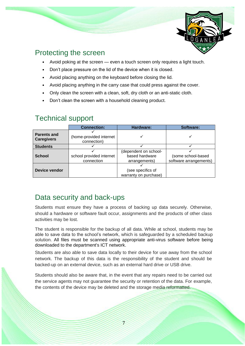

## <span id="page-6-0"></span>Protecting the screen

- Avoid poking at the screen even a touch screen only requires a light touch.
- Don't place pressure on the lid of the device when it is closed.
- Avoid placing anything on the keyboard before closing the lid.
- Avoid placing anything in the carry case that could press against the cover.
- Only clean the screen with a clean, soft, dry cloth or an anti-static cloth.
- Don't clean the screen with a household cleaning product.

|                                         | <b>Connection:</b>                     | Hardware:                                                | Software:                                    |
|-----------------------------------------|----------------------------------------|----------------------------------------------------------|----------------------------------------------|
| <b>Parents and</b><br><b>Caregivers</b> | (home-provided internet<br>connection) |                                                          |                                              |
| <b>Students</b>                         |                                        |                                                          |                                              |
| <b>School</b>                           | school provided internet<br>connection | (dependent on school-<br>based hardware<br>arrangements) | (some school-based<br>software arrangements) |
| Device vendor                           |                                        | (see specifics of<br>warranty on purchase)               |                                              |

## <span id="page-6-1"></span>Technical support

## <span id="page-6-2"></span>Data security and back-ups

Students must ensure they have a process of backing up data securely. Otherwise, should a hardware or software fault occur, assignments and the products of other class activities may be lost.

The student is responsible for the backup of all data. While at school, students may be able to save data to the school's network, which is safeguarded by a scheduled backup solution. All files must be scanned using appropriate anti-virus software before being downloaded to the department's ICT network.

Students are also able to save data locally to their device for use away from the school network. The backup of this data is the responsibility of the student and should be backed-up on an external device, such as an external hard drive or USB drive.

Students should also be aware that, in the event that any repairs need to be carried out the service agents may not guarantee the security or retention of the data. For example, the contents of the device may be deleted and the storage media reformatted.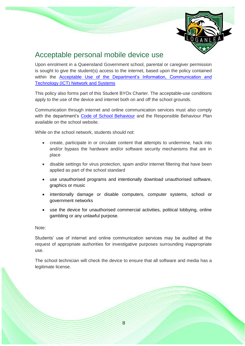

## <span id="page-7-0"></span>Acceptable personal mobile device use

Upon enrolment in a Queensland Government school, parental or caregiver permission is sought to give the student(s) access to the internet, based upon the policy contained within the [Acceptable Use of the Department's Information, Communication and](http://ppr.det.qld.gov.au/corp/ict/management/Pages/Acceptable-Use-of-Departments-Information-Communication-and-Technology-%28ICT%29-Network-and-Systems.aspx)  [Technology \(ICT\) Network and Systems](http://ppr.det.qld.gov.au/corp/ict/management/Pages/Acceptable-Use-of-Departments-Information-Communication-and-Technology-%28ICT%29-Network-and-Systems.aspx)

This policy also forms part of this Student BYOx Charter. The acceptable-use conditions apply to the use of the device and internet both on and off the school grounds.

Communication through internet and online communication services must also comply with the department's [Code of School Behaviour](http://education.qld.gov.au/studentservices/behaviour/bm-codebehav.html) and the Responsible Behaviour Plan available on the school website.

While on the school network, students should not:

- create, participate in or circulate content that attempts to undermine, hack into and/or bypass the hardware and/or software security mechanisms that are in place
- disable settings for virus protection, spam and/or internet filtering that have been applied as part of the school standard
- use unauthorised programs and intentionally download unauthorised software, graphics or music
- intentionally damage or disable computers, computer systems, school or government networks
- use the device for unauthorised commercial activities, political lobbying, online gambling or any unlawful purpose.

Note:

Students' use of internet and online communication services may be audited at the request of appropriate authorities for investigative purposes surrounding inappropriate use.

The school technician will check the device to ensure that all software and media has a legitimate license.

8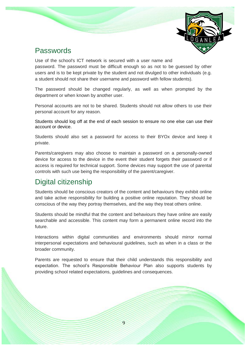

## <span id="page-8-0"></span>Passwords

Use of the school's ICT network is secured with a user name and password. The password must be difficult enough so as not to be guessed by other users and is to be kept private by the student and not divulged to other individuals (e.g. a student should not share their username and password with fellow students).

The password should be changed regularly, as well as when prompted by the department or when known by another user.

Personal accounts are not to be shared. Students should not allow others to use their personal account for any reason.

Students should log off at the end of each session to ensure no one else can use their account or device.

Students should also set a password for access to their BYOx device and keep it private.

Parents/caregivers may also choose to maintain a password on a personally-owned device for access to the device in the event their student forgets their password or if access is required for technical support. Some devices may support the use of parental controls with such use being the responsibility of the parent/caregiver.

## <span id="page-8-1"></span>Digital citizenship

Students should be conscious creators of the content and behaviours they exhibit online and take active responsibility for building a positive online reputation. They should be conscious of the way they portray themselves, and the way they treat others online.

Students should be mindful that the content and behaviours they have online are easily searchable and accessible. This content may form a permanent online record into the future.

Interactions within digital communities and environments should mirror normal interpersonal expectations and behavioural guidelines, such as when in a class or the broader community.

Parents are requested to ensure that their child understands this responsibility and expectation. The school's Responsible Behaviour Plan also supports students by providing school related expectations, guidelines and consequences.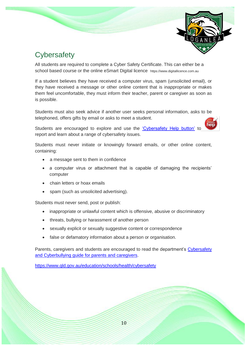

## <span id="page-9-0"></span>**Cybersafety**

All students are required to complete a Cyber Safety Certificate. This can either be a school based course or the online eSmart Digital licence https://www.digitallicence.com.au

If a student believes they have received a computer virus, spam (unsolicited email), or they have received a message or other online content that is inappropriate or makes them feel uncomfortable, they must inform their teacher, parent or caregiver as soon as is possible.

Students must also seek advice if another user seeks personal information, asks to be telephoned, offers gifts by email or asks to meet a student.

Students are encouraged to explore and use the ['Cybersafety Help button'](http://www.communications.gov.au/online_safety_and_security/cybersafetyhelpbutton_download) to report and learn about a range of cybersafety issues.

Students must never initiate or knowingly forward emails, or other online content, containing:

- a message sent to them in confidence
- a computer virus or attachment that is capable of damaging the recipients' computer
- chain letters or hoax emails
- spam (such as unsolicited advertising).

Students must never send, post or publish:

- inappropriate or unlawful content which is offensive, abusive or discriminatory
- threats, bullying or harassment of another person
- sexually explicit or sexually suggestive content or correspondence
- false or defamatory information about a person or organisation.

Parents, caregivers and students are encouraged to read the department's Cybersafety [and Cyberbullying guide for parents and caregivers.](http://education.qld.gov.au/studentservices/behaviour/qsaav/docs/cyberbullying-cybersafetyprintfriendlyguide.pdf)

<https://www.qld.gov.au/education/schools/health/cybersafety>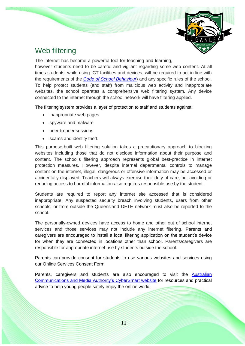

## <span id="page-10-0"></span>Web filtering

The internet has become a powerful tool for teaching and learning,

however students need to be careful and vigilant regarding some web content. At all times students, while using ICT facilities and devices, will be required to act in line with the requirements of the *[Code of School Behaviour](http://education.qld.gov.au/studentservices/behaviour/bm-codebehav.html)*) and any specific rules of the school. To help protect students (and staff) from malicious web activity and inappropriate websites, the school operates a comprehensive web filtering system. Any device connected to the internet through the school network will have filtering applied.

The filtering system provides a layer of protection to staff and students against:

- inappropriate web pages
- spyware and malware
- peer-to-peer sessions
- scams and identity theft.

This purpose-built web filtering solution takes a precautionary approach to blocking websites including those that do not disclose information about their purpose and content. The school's filtering approach represents global best-practice in internet protection measures. However, despite internal departmental controls to manage content on the internet, illegal, dangerous or offensive information may be accessed or accidentally displayed. Teachers will always exercise their duty of care, but avoiding or reducing access to harmful information also requires responsible use by the student.

Students are required to report any internet site accessed that is considered inappropriate. Any suspected security breach involving students, users from other schools, or from outside the Queensland DETE network must also be reported to the school.

The personally-owned devices have access to home and other out of school internet services and those services may not include any internet filtering. Parents and caregivers are encouraged to install a local filtering application on the student's device for when they are connected in locations other than school. Parents/caregivers are responsible for appropriate internet use by students outside the school.

Parents can provide consent for students to use various websites and services using our Online Services Consent Form.

Parents, caregivers and students are also encouraged to visit the **Australian** [Communications and Media Authority's CyberSmart website](http://www.cybersmart.gov.au/) for resources and practical advice to help young people safely enjoy the online world.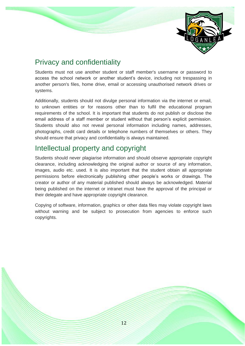

## <span id="page-11-0"></span>Privacy and confidentiality

Students must not use another student or staff member's username or password to access the school network or another student's device, including not trespassing in another person's files, home drive, email or accessing unauthorised network drives or systems.

Additionally, students should not divulge personal information via the internet or email, to unknown entities or for reasons other than to fulfil the educational program requirements of the school. It is important that students do not publish or disclose the email address of a staff member or student without that person's explicit permission. Students should also not reveal personal information including names, addresses, photographs, credit card details or telephone numbers of themselves or others. They should ensure that privacy and confidentiality is always maintained.

## <span id="page-11-1"></span>Intellectual property and copyright

Students should never plagiarise information and should observe appropriate copyright clearance, including acknowledging the original author or source of any information, images, audio etc. used. It is also important that the student obtain all appropriate permissions before electronically publishing other people's works or drawings. The creator or author of any material published should always be acknowledged. Material being published on the internet or intranet must have the approval of the principal or their delegate and have appropriate copyright clearance.

<span id="page-11-2"></span>Copying of software, information, graphics or other data files may violate copyright laws without warning and be subject to prosecution from agencies to enforce such copyrights.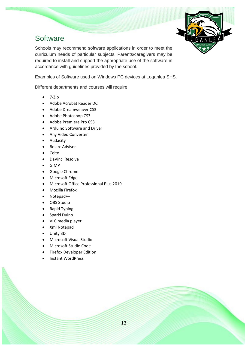

## **Software**

Schools may recommend software applications in order to meet the curriculum needs of particular subjects. Parents/caregivers may be required to install and support the appropriate use of the software in accordance with guidelines provided by the school.

Examples of Software used on Windows PC devices at Loganlea SHS.

Different departments and courses will require

- $\bullet$  7-Zip
- Adobe Acrobat Reader DC
- Adobe Dreamweaver CS3
- Adobe Photoshop CS3
- Adobe Premiere Pro CS3
- Arduino Software and Driver
- Any Video Converter
- Audacity
- Belarc Advisor
- Celtx
- DaVinci Resolve
- GIMP
- Google Chrome
- Microsoft Edge
- Microsoft Office Professional Plus 2019
- Mozilla Firefox
- Notepad++
- OBS Studio
- Rapid Typing
- Sparki Duino
- VLC media player
- Xml Notepad
- Unity 3D
- Microsoft Visual Studio
- Microsoft Studio Code
- Firefox Developer Edition
- Instant WordPress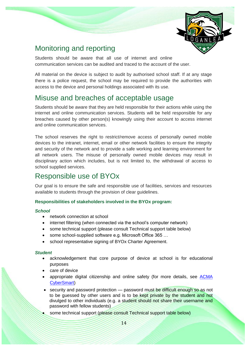

## <span id="page-13-0"></span>Monitoring and reporting

Students should be aware that all use of internet and online communication services can be audited and traced to the account of the user.

All material on the device is subject to audit by authorised school staff. If at any stage there is a police request, the school may be required to provide the authorities with access to the device and personal holdings associated with its use.

## <span id="page-13-1"></span>Misuse and breaches of acceptable usage

Students should be aware that they are held responsible for their actions while using the internet and online communication services. Students will be held responsible for any breaches caused by other person(s) knowingly using their account to access internet and online communication services.

The school reserves the right to restrict/remove access of personally owned mobile devices to the intranet, internet, email or other network facilities to ensure the integrity and security of the network and to provide a safe working and learning environment for all network users. The misuse of personally owned mobile devices may result in disciplinary action which includes, but is not limited to, the withdrawal of access to school supplied services.

## <span id="page-13-2"></span>Responsible use of BYOx

Our goal is to ensure the safe and responsible use of facilities, services and resources available to students through the provision of clear quidelines.

#### **Responsibilities of stakeholders involved in the BYOx program:**

#### *School*

- network connection at school
- internet filtering (when connected via the school's computer network)
- some technical support (please consult Technical support table below)
- some school-supplied software e.g. Microsoft Office 365 …
- school representative signing of BYOx Charter Agreement.

#### *Student*

- acknowledgement that core purpose of device at school is for educational purposes
- care of device
- appropriate digital citizenship and online safety (for more details, see ACMA [CyberSmart\)](http://www.cybersmart.gov.au/)
- security and password protection password must be difficult enough so as not to be guessed by other users and is to be kept private by the student and not divulged to other individuals (e.g. a student should not share their username and password with fellow students)
- some technical support (please consult Technical support table below)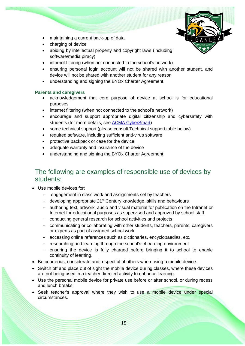

- maintaining a current back-up of data
- charging of device
- abiding by intellectual property and copyright laws (including software/media piracy)
- internet filtering (when not connected to the school's network)
- ensuring personal login account will not be shared with another student, and device will not be shared with another student for any reason
- understanding and signing the BYOx Charter Agreement.

#### **Parents and caregivers**

- acknowledgement that core purpose of device at school is for educational purposes
- internet filtering (when not connected to the school's network)
- encourage and support appropriate digital citizenship and cybersafety with students (for more details, see **ACMA CyberSmart)**
- some technical support (please consult Technical support table below)
- required software, including sufficient anti-virus software
- protective backpack or case for the device
- adequate warranty and insurance of the device
- understanding and signing the BYOx Charter Agreement.

#### <span id="page-14-0"></span>The following are examples of responsible use of devices by students:

- Use mobile devices for:
	- engagement in class work and assignments set by teachers
	- developing appropriate  $21^{st}$  Century knowledge, skills and behaviours
	- authoring text, artwork, audio and visual material for publication on the Intranet or Internet for educational purposes as supervised and approved by school staff
	- conducting general research for school activities and projects
	- communicating or collaborating with other students, teachers, parents, caregivers or experts as part of assigned school work
	- accessing online references such as dictionaries, encyclopaedias, etc.
	- researching and learning through the school's eLearning environment
	- ensuring the device is fully charged before bringing it to school to enable continuity of learning.
- Be courteous, considerate and respectful of others when using a mobile device.
- Switch off and place out of sight the mobile device during classes, where these devices are not being used in a teacher directed activity to enhance learning.
- Use the personal mobile device for private use before or after school, or during recess and lunch breaks.
- Seek teacher's approval where they wish to use a mobile device under special circumstances.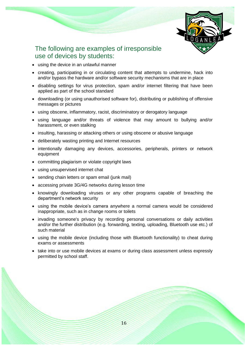

#### <span id="page-15-0"></span>The following are examples of irresponsible use of devices by students:

- using the device in an unlawful manner
- creating, participating in or circulating content that attempts to undermine, hack into and/or bypass the hardware and/or software security mechanisms that are in place
- disabling settings for virus protection, spam and/or internet filtering that have been applied as part of the school standard
- downloading (or using unauthorised software for), distributing or publishing of offensive messages or pictures
- using obscene, inflammatory, racist, discriminatory or derogatory language
- using language and/or threats of violence that may amount to bullying and/or harassment, or even stalking
- insulting, harassing or attacking others or using obscene or abusive language
- deliberately wasting printing and Internet resources
- intentionally damaging any devices, accessories, peripherals, printers or network equipment
- committing plagiarism or violate copyright laws
- using unsupervised internet chat
- sending chain letters or spam email (junk mail)
- accessing private 3G/4G networks during lesson time
- knowingly downloading viruses or any other programs capable of breaching the department's network security
- using the mobile device's camera anywhere a normal camera would be considered inappropriate, such as in change rooms or toilets
- invading someone's privacy by recording personal conversations or daily activities and/or the further distribution (e.g. forwarding, texting, uploading, Bluetooth use etc.) of such material
- using the mobile device (including those with Bluetooth functionality) to cheat during exams or assessments
- take into or use mobile devices at exams or during class assessment unless expressly permitted by school staff.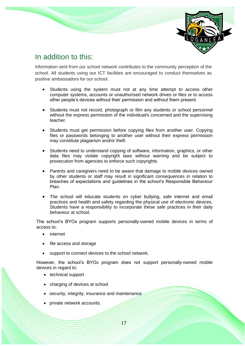

## <span id="page-16-0"></span>In addition to this:

Information sent from our school network contributes to the community perception of the school. All students using our ICT facilities are encouraged to conduct themselves as positive ambassadors for our school.

- Students using the system must not at any time attempt to access other computer systems, accounts or unauthorised network drives or files or to access other people's devices without their permission and without them present.
- Students must not record, photograph or film any students or school personnel without the express permission of the individual/s concerned and the supervising teacher.
- Students must get permission before copying files from another user. Copying files or passwords belonging to another user without their express permission may constitute plagiarism and/or theft.
- Students need to understand copying of software, information, graphics, or other data files may violate copyright laws without warning and be subject to prosecution from agencies to enforce such copyrights.
- Parents and caregivers need to be aware that damage to mobile devices owned by other students or staff may result in significant consequences in relation to breaches of expectations and guidelines in the school's Responsible Behaviour Plan.
- The school will educate students on cyber bullying, safe internet and email practices and health and safety regarding the physical use of electronic devices. Students have a responsibility to incorporate these safe practices in their daily behaviour at school.

The school's BYOx program supports personally-owned mobile devices in terms of access to:

- internet
- file access and storage
- support to connect devices to the school network.

However, the school's BYOx program does not support personally-owned mobile devices in regard to:

- technical support
- charging of devices at school
- security, integrity, insurance and maintenance
- private network accounts.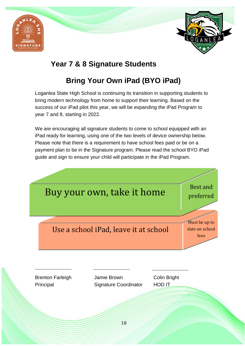



## <span id="page-17-0"></span>**Year 7 & 8 Signature Students**

## **Bring Your Own iPad (BYO iPad)**

<span id="page-17-1"></span>Loganlea State High School is continuing its transition in supporting students to bring modern technology from home to support their learning. Based on the success of our iPad pilot this year, we will be expanding the iPad Program to year 7 and 8, starting in 2022.

We are encouraging all signature students to come to school equipped with an iPad ready for learning, using one of the two levels of device ownership below. Please note that there is a requirement to have school fees paid or be on a payment plan to be in the Signature program. Please read the school BYO iPad guide and sign to ensure your child will participate in the iPad Program.

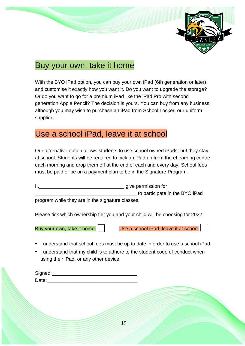

## Buy your own, take it home

With the BYO iPad option, you can buy your own iPad (6th generation or later) and customise it exactly how you want it. Do you want to upgrade the storage? Or do you want to go for a premium iPad like the iPad Pro with second generation Apple Pencil? The decision is yours. You can buy from any business, although you may wish to purchase an iPad from School Locker, our uniform supplier.

## Use a school iPad, leave it at school

Our alternative option allows students to use school owned iPads, but they stay at school. Students will be required to pick an iPad up from the eLearning centre each morning and drop them off at the end of each and every day. School fees must be paid or be on a payment plan to be in the Signature Program.

I ,\_\_\_\_\_\_\_\_\_\_\_\_\_\_\_\_\_\_\_\_\_\_\_\_\_\_\_\_\_\_\_ give permission for \_\_\_\_\_\_\_\_\_\_\_\_\_\_\_\_\_\_\_\_\_\_\_\_\_\_\_\_\_\_\_\_\_\_\_\_\_ to participate in the BYO iPad

program while they are in the signature classes.

Please tick which ownership tier you and your child will be choosing for 2022.

Buy your own, take it home Use a school iPad, leave it at school

- I understand that school fees must be up to date in order to use a school iPad.
- I understand that my child is to adhere to the student code of conduct when using their iPad, or any other device.

| Signed: |  |  |
|---------|--|--|
| Date:   |  |  |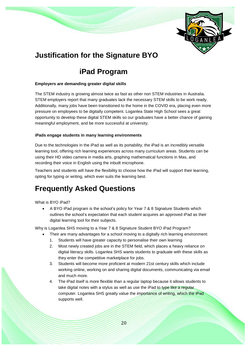

## <span id="page-19-0"></span>**Justification for the Signature BYO**

## <span id="page-19-1"></span>**iPad Program**

#### **Employers are demanding greater digital skills**

The STEM industry is growing almost twice as fast as other non STEM industries in Australia. STEM employers report that many graduates lack the necessary STEM skills to be work ready. Additionally, many jobs have been transitioned to the home in the COVID era, placing even more pressure on employees to be digitally competent. Loganlea State High School sees a great opportunity to develop these digital STEM skills so our graduates have a better chance of gaining meaningful employment, and be more successful at university.

#### **iPads engage students in many learning environments**

Due to the technologies in the iPad as well as its portability, the iPad is an incredibly versatile learning tool, offering rich learning experiences across many curriculum areas. Students can be using their HD video camera in media arts, graphing mathematical functions in Mas, and recording their voice in English using the inbuilt microphone.

Teachers and students will have the flexibility to choose how the iPad will support their learning, opting for typing or writing, which ever suits the learning best.

## <span id="page-19-2"></span>**Frequently Asked Questions**

What is BYO iPad?

• A BYO iPad program is the school's policy for Year 7 & 8 Signature Students which outlines the school's expectation that each student acquires an approved iPad as their digital learning tool for their subjects.

Why is Loganlea SHS moving to a Year 7 & 8 Signature Student BYO iPad Program?

- Their are many advantages for a school moving to a digitally rich learning environment:
	- 1. Students will have greater capacity to personalise their own learning
	- 2. Most newly created jobs are in the STEM field, which places a heavy reliance on digital literacy skills. Loganlea SHS wants students to graduate with these skills as they enter the competitive marketplace for jobs.
	- 3. Students will become more proficient at modern 21st century skills which include working online, working on and sharing digital documents, communicating via email and much more.
	- 4. The iPad itself is more flexible than a regular laptop because it allows students to take digital notes with a stylus as well as use the iPad to type like a regular computer. Loganlea SHS greatly value the importance of writing, which the iPad supports well.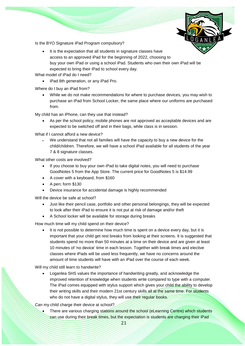

Is the BYO Signature iPad Program compulsory?

• It is the expectation that all students in signature classes have access to an approved iPad for the beginning of 2022, choosing to buy your own iPad or using a school iPad. Students who own their own iPad will be expected to bring their iPad to school every day.

What model of iPad do I need?

• iPad 8th generation, or any iPad Pro.

Where do I buy an iPad from?

• While we do not make recommendations for where to purchase devices, you may wish to purchase an iPad from School Locker, the same place where our uniforms are purchased from.

My child has an iPhone, can they use that instead?

• As per the school policy, mobile phones are not approved as acceptable devices and are expected to be switched off and in their bags, while class is in session.

What if I cannot afford a new device?

We understand that not all families will have the capacity to buy a new device for the child/children. Therefore, we will have a school iPad available for all students of the year 7 & 8 signature classes.

What other costs are involved?

- If you choose to buy your own iPad to take digital notes, you will need to purchase GoodNotes 5 from the App Store. The current price for GoodNotes 5 is \$14.99
- A cover with a keyboard; from \$160
- A pen; form \$130
- Device insurance for accidental damage is highly recommended

Will the device be safe at school?

- Just like their pencil case, portfolio and other personal belongings, they will be expected to look after their iPad to ensure it is not put at risk of damage and/or theft
- A School locker will be available for storage during breaks

How much time will my child spend on their device?

It is not possible to determine how much time is spent on a device every day, but it is important that your child get rest breaks from looking at their screens. It is suggested that students spend no more than 50 minutes at a time on their device and are given at least 10 minutes of 'no device' time in each lesson. Together with break times and elective classes where iPads will be used less frequently, we have no concerns around the amount of time students will have with an iPad over the course of each week.

Will my child still learn to handwrite?

• Loganlea SHS values the importance of handwriting greatly, and acknowledge the improved retention of knowledge when students write compared to type with a computer. The iPad comes equipped with stylus support which gives your child the ability to develop their writing skills and their modern 21st century skills all at the same time. For students who do not have a digital stylus, they will use their regular books.

Can my child charge their device at school?

There are various charging stations around the school (eLearning Centre) which students can use during their break times, but the expectation is students are charging their iPad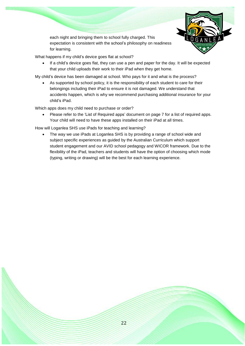

each night and bringing them to school fully charged. This expectation is consistent with the school's philosophy on readiness for learning.

What happens if my child's device goes flat at school?

• If a child's device goes flat, they can use a pen and paper for the day. It will be expected that your child uploads their work to their iPad when they get home.

My child's device has been damaged at school. Who pays for it and what is the process?

As supported by school policy, it is the responsibility of each student to care for their belongings including their iPad to ensure it is not damaged. We understand that accidents happen, which is why we recommend purchasing additional insurance for your child's iPad.

Which apps does my child need to purchase or order?

• Please refer to the 'List of Required apps' document on page 7 for a list of required apps. Your child will need to have these apps installed on their iPad at all times.

How will Loganlea SHS use iPads for teaching and learning?

The way we use iPads at Loganlea SHS is by providing a range of school wide and subject specific experiences as guided by the Australian Curriculum which support student engagement and our AVID school pedagogy and WICOR framework. Due to the flexibility of the iPad, teachers and students will have the option of choosing which mode (typing, writing or drawing) will be the best for each learning experience.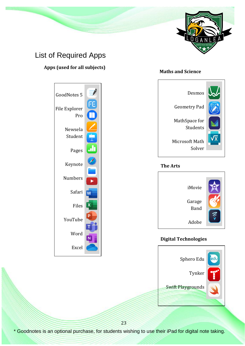

## <span id="page-22-0"></span>List of Required Apps

#### **Apps (used for all subjects)**

# Desmos Geometry Pad MathSpace for Students

**Maths and Science**

Microsoft Math Solver

#### **The Arts**



#### **Digital Technologies**





23

\* Goodnotes is an optional purchase, for students wishing to use their iPad for digital note taking.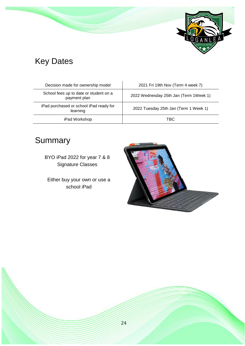

# Key Dates

| Decision made for ownership model                      | 2021 Fri 19th Nov (Term 4 week 7)      |
|--------------------------------------------------------|----------------------------------------|
| School fees up to date or student on a<br>payment plan | 2022 Wednesday 25th Jan (Term 1Week 1) |
| iPad purchased or school iPad ready for<br>learning    | 2022 Tuesday 25th Jan (Term 1 Week 1)  |
| iPad Workshop                                          | TBC                                    |

# Summary

BYO iPad 2022 for year 7 & 8 Signature Classes

Either buy your own or use a school iPad